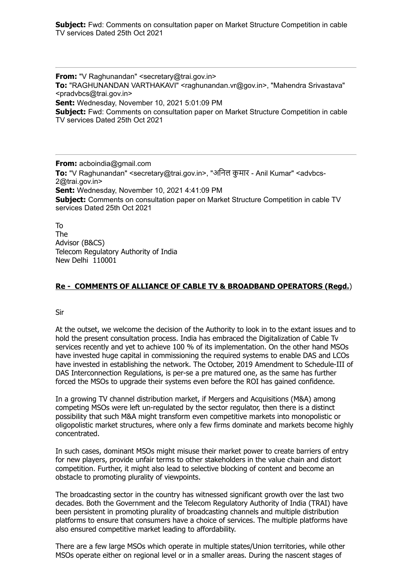**Subject:** Fwd: Comments on consultation paper on Market Structure Competition in cable TV services Dated 25th Oct 2021

**From:** "V Raghunandan" <secretary@trai.gov.in> **To:** "RAGHUNANDAN VARTHAKAVI" <raghunandan.vr@gov.in>, "Mahendra Srivastava" <pradvbcs@trai.gov.in> **Sent:** Wednesday, November 10, 2021 5:01:09 PM **Subject:** Fwd: Comments on consultation paper on Market Structure Competition in cable TV services Dated 25th Oct 2021

**From:** acboindia@gmail.com **To:** "V Raghunandan" <secretary@trai.gov.in>, "अनिल कुमार - Anil Kumar" <advbcs-2@trai.gov.in> **Sent:** Wednesday, November 10, 2021 4:41:09 PM **Subject:** Comments on consultation paper on Market Structure Competition in cable TV services Dated 25th Oct 2021

To The Advisor (B&CS) Telecom Regulatory Authority of India New Delhi 110001

## **Re - COMMENTS OF ALLIANCE OF CABLE TV & BROADBAND OPERATORS (Regd.**)

Sir

At the outset, we welcome the decision of the Authority to look in to the extant issues and to hold the present consultation process. India has embraced the Digitalization of Cable Tv services recently and yet to achieve 100 % of its implementation. On the other hand MSOs have invested huge capital in commissioning the required systems to enable DAS and LCOs have invested in establishing the network. The October, 2019 Amendment to Schedule-III of DAS Interconnection Regulations, is per-se a pre matured one, as the same has further forced the MSOs to upgrade their systems even before the ROI has gained confidence.

In a growing TV channel distribution market, if Mergers and Acquisitions (M&A) among competing MSOs were left un-regulated by the sector regulator, then there is a distinct possibility that such M&A might transform even competitive markets into monopolistic or oligopolistic market structures, where only a few firms dominate and markets become highly concentrated.

In such cases, dominant MSOs might misuse their market power to create barriers of entry for new players, provide unfair terms to other stakeholders in the value chain and distort competition. Further, it might also lead to selective blocking of content and become an obstacle to promoting plurality of viewpoints.

The broadcasting sector in the country has witnessed significant growth over the last two decades. Both the Government and the Telecom Regulatory Authority of India (TRAI) have been persistent in promoting plurality of broadcasting channels and multiple distribution platforms to ensure that consumers have a choice of services. The multiple platforms have also ensured competitive market leading to affordability.

There are a few large MSOs which operate in multiple states/Union territories, while other MSOs operate either on regional level or in a smaller areas. During the nascent stages of